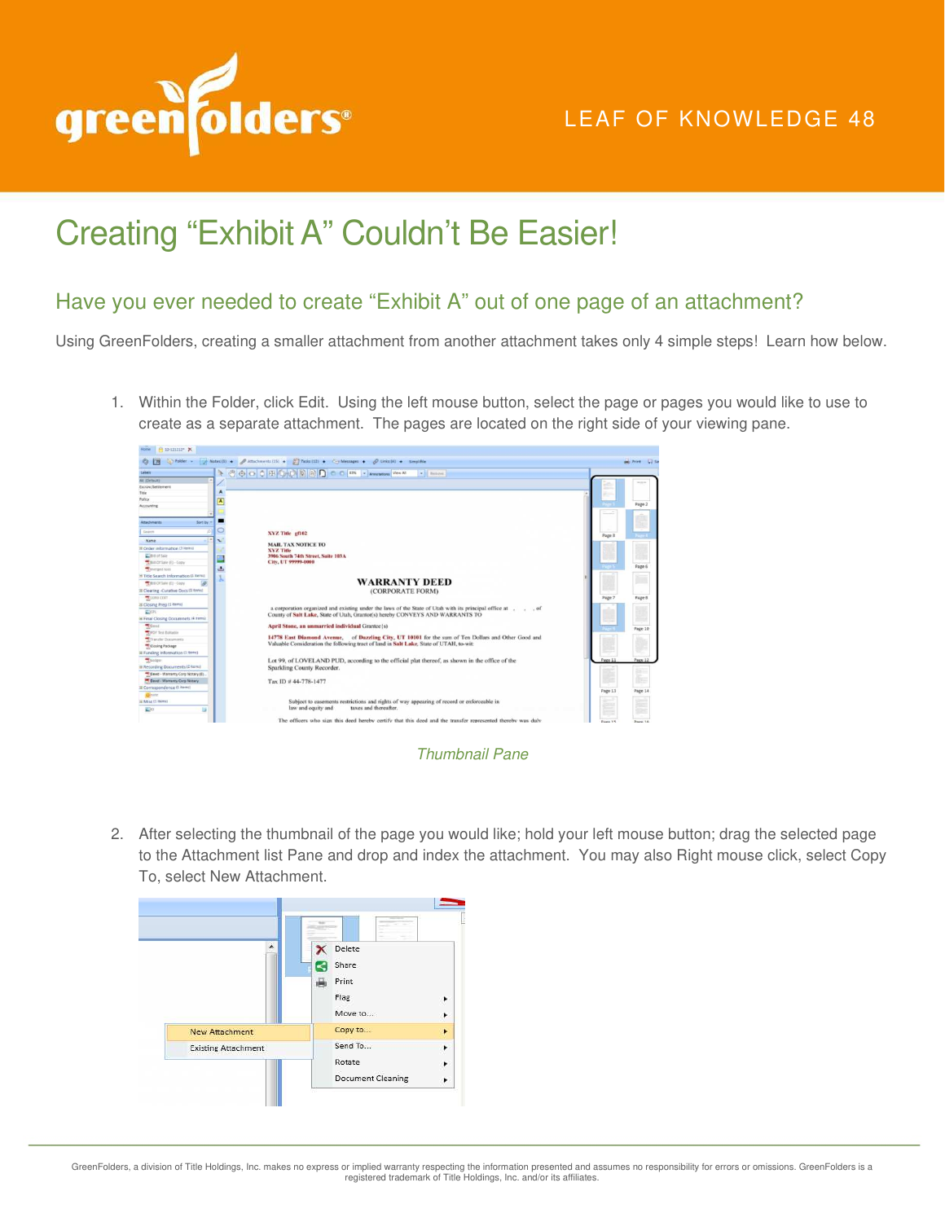

## LEAF OF KNOWLEDGE 48

## Creating "Exhibit A" Couldn't Be Easier!

## Have you ever needed to create "Exhibit A" out of one page of an attachment?

Using GreenFolders, creating a smaller attachment from another attachment takes only 4 simple steps! Learn how below.

1. Within the Folder, click Edit. Using the left mouse button, select the page or pages you would like to use to create as a separate attachment. The pages are located on the right side of your viewing pane.





2. After selecting the thumbnail of the page you would like; hold your left mouse button; drag the selected page to the Attachment list Pane and drop and index the attachment. You may also Right mouse click, select Copy To, select New Attachment.